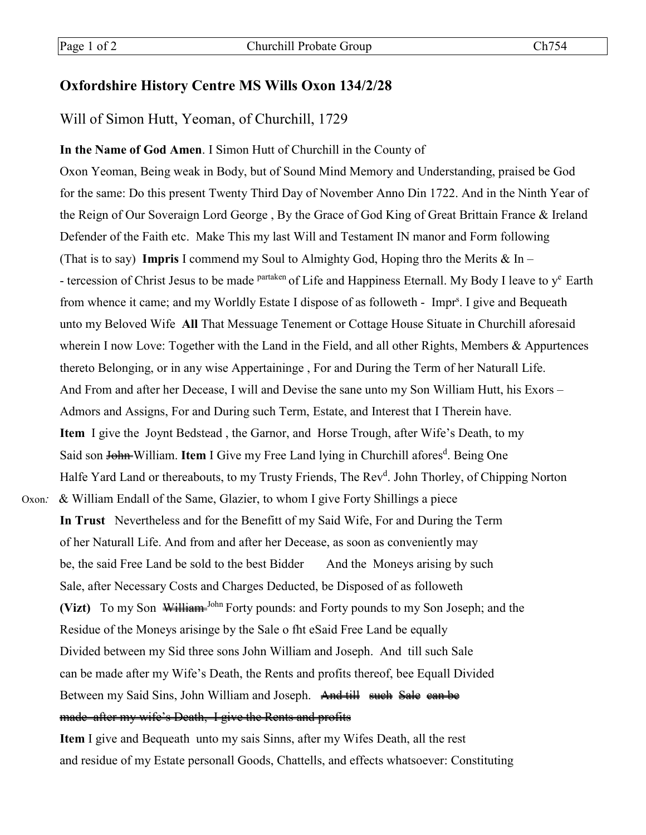## **Oxfordshire History Centre MS Wills Oxon 134/2/28**

## Will of Simon Hutt, Yeoman, of Churchill, 1729

**In the Name of God Amen**. I Simon Hutt of Churchill in the County of Oxon Yeoman, Being weak in Body, but of Sound Mind Memory and Understanding, praised be God for the same: Do this present Twenty Third Day of November Anno Din 1722. And in the Ninth Year of the Reign of Our Soveraign Lord George , By the Grace of God King of Great Brittain France & Ireland Defender of the Faith etc. Make This my last Will and Testament IN manor and Form following (That is to say) **Impris** I commend my Soul to Almighty God, Hoping thro the Merits & In – - tercession of Christ Jesus to be made *partaken* of Life and Happiness Eternall. My Body I leave to  $y^e$  Earth from whence it came; and my Worldly Estate I dispose of as followeth - Impr<sup>s</sup>. I give and Bequeath unto my Beloved Wife **All** That Messuage Tenement or Cottage House Situate in Churchill aforesaid wherein I now Love: Together with the Land in the Field, and all other Rights, Members & Appurtences thereto Belonging, or in any wise Appertaininge , For and During the Term of her Naturall Life. And From and after her Decease, I will and Devise the sane unto my Son William Hutt, his Exors – Admors and Assigns, For and During such Term, Estate, and Interest that I Therein have. **Item** I give the Joynt Bedstead , the Garnor, and Horse Trough, after Wife's Death, to my Said son <del>John </del>William. Item I Give my Free Land lying in Churchill afores<sup>d</sup>. Being One Halfe Yard Land or thereabouts, to my Trusty Friends, The Rev<sup>d</sup>. John Thorley, of Chipping Norton Oxon*:* & William Endall of the Same, Glazier, to whom I give Forty Shillings a piece **In Trust** Nevertheless and for the Benefitt of my Said Wife, For and During the Term of her Naturall Life. And from and after her Decease, as soon as conveniently may be, the said Free Land be sold to the best Bidder And the Moneys arising by such Sale, after Necessary Costs and Charges Deducted, be Disposed of as followeth **(Vizt)** To my Son William-John Forty pounds: and Forty pounds to my Son Joseph; and the Residue of the Moneys arisinge by the Sale o fht eSaid Free Land be equally Divided between my Sid three sons John William and Joseph. And till such Sale

Between my Said Sins, John William and Joseph. And till such Sale can be

can be made after my Wife's Death, the Rents and profits thereof, bee Equall Divided

## made after my wife's Death, I give the Rents and profits

**Item** I give and Bequeath unto my sais Sinns, after my Wifes Death, all the rest and residue of my Estate personall Goods, Chattells, and effects whatsoever: Constituting